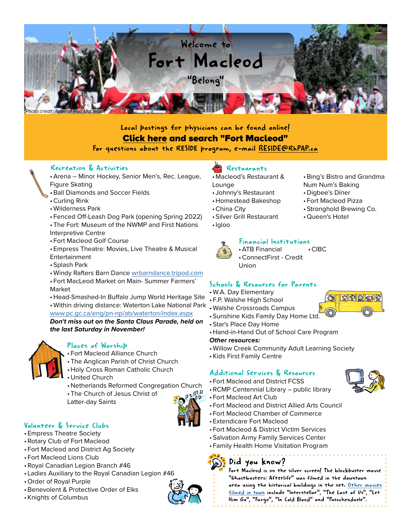

## Local postings for physicians can be found online! [Click here and search "Fort Macleod"](https://www.doctorjobsalberta.com/searchresults.aspx)

#### For questions about the RESIDE program, e-mail [RESIDE@RhPAP.ca](mailto:RESIDE%40RhPAP.ca?subject=Inquiry%20from%20Community%20Profile)

#### Recreation & Activities

- •Arena Minor Hockey, Senior Men's, Rec. League, Figure Skating
- •Ball Diamonds and Soccer Fields
- •Curling Rink
- •Wilderness Park
- Fenced Off-Leash Dog Park (opening Spring 2022) •The Fort: Museum of the NWMP and First Nations
- Interpretive Centre
- Fort Macleod Golf Course
- •Empress Theatre: Movies, Live Theatre & Musical Entertainment
- •Splash Park
- •Windy Rafters Barn Dance [wrbarndance.tripod.com](http://wrbarndance.tripod.com)
- Fort MacLeod Market on Main- Summer Farmers' Market
- •Head-Smashed-In Buffalo Jump World Heritage Site
- •Within driving distance: Waterton Lake National Park

#### [www.pc.gc.ca/eng/pn-np/ab/waterton/index.aspx](http://www.pc.gc.ca/eng/pn-np/ab/waterton/index.aspx  )

*Don't miss out on the Santa Claus Parade, held on the last Saturday in November!*



#### Places of Worship

- Fort Macleod Alliance Church
- •The Anglican Parish of Christ Church
- •Holy Cross Roman Catholic Church
- United Church
- Netherlands Reformed Congregation Church
- •The Church of Jesus Christ of
- Latter-day Saints

## Volunteer & Service Clubs

- •Empress Theatre Society
- •Rotary Club of Fort Macleod
- Fort Macleod and District Ag Society
- Fort Macleod Lions Club
- •Royal Canadian Legion Branch #46
- Ladies Auxiliary to the Royal Canadian Legion #46
- •Order of Royal Purple
- •Benevolent & Protective Order of Elks
- •Knights of Columbus

## Restaurants

- Macleod's Restaurant & Lounge
- Johnny's Restaurant
- •Homestead Bakeshop
- •China City
- •Silver Grill Restaurant
- •Igloo



## Financial Institutions

•ATB Financial •ConnectFirst - Credit Union •CIBC

## Schools & Resources for Parents

- •W.A. Day Elementary
- F.P. Walshe High School
- •Walshe Crossroads Campus
- •Sunshine Kids Family Day Home Ltd.
- •Star's Place Day Home
- •Hand-in-Hand Out of School Care Program

#### *Other resources:*

- •Willow Creek Community Adult Learning Society
- •Kids First Family Centre

## Additional Services & Resources

• Fort Macleod and District FCSS



- •RCMP Centennial Library public library
- Fort Macleod Art Club
- Fort Macleod and District Allied Arts Council
- Fort Macleod Chamber of Commerce
- •Extendicare Fort Macleod
- Fort Macleod & District Victim Services
- •Salvation Army Family Services Center
- Family Health Home Visitation Program

# Did you know?





•Bing's Bistro and Grandma

Num Num's Baking • Digbee's Diner • Fort Macleod Pizza •Stronghold Brewing Co.

•Queen's Hotel